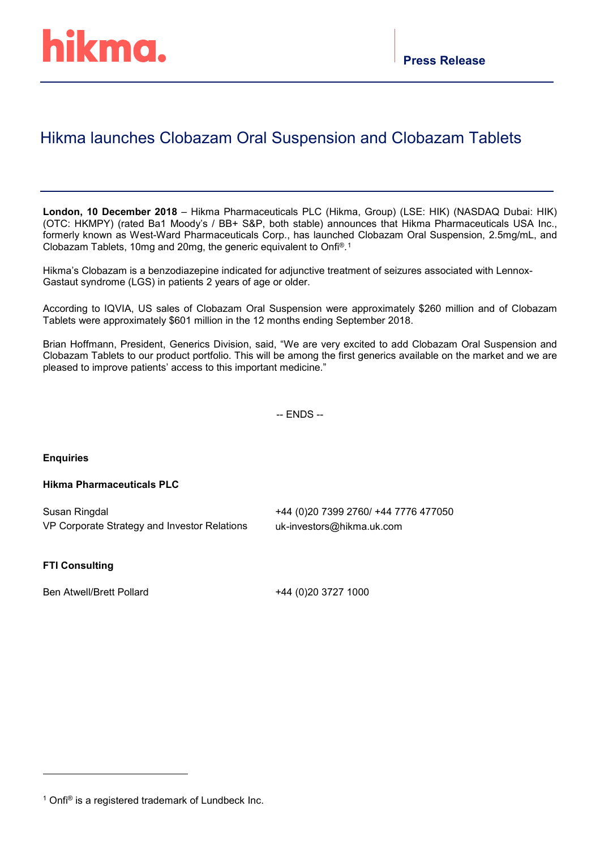# Hikma launches Clobazam Oral Suspension and Clobazam Tablets

**London, 10 December 2018** – Hikma Pharmaceuticals PLC (Hikma, Group) (LSE: HIK) (NASDAQ Dubai: HIK) (OTC: HKMPY) (rated Ba1 Moody's / BB+ S&P, both stable) announces that Hikma Pharmaceuticals USA Inc., formerly known as West-Ward Pharmaceuticals Corp., has launched Clobazam Oral Suspension, 2.5mg/mL, and Clobazam Tablets, 10mg and 20mg, the generic equivalent to Onfi®.[1](#page-0-0)

Hikma's Clobazam is a benzodiazepine indicated for adjunctive treatment of seizures associated with Lennox-Gastaut syndrome (LGS) in patients 2 years of age or older.

According to IQVIA, US sales of Clobazam Oral Suspension were approximately \$260 million and of Clobazam Tablets were approximately \$601 million in the 12 months ending September 2018.

Brian Hoffmann, President, Generics Division, said, "We are very excited to add Clobazam Oral Suspension and Clobazam Tablets to our product portfolio. This will be among the first generics available on the market and we are pleased to improve patients' access to this important medicine."

-- ENDS --

**Enquiries**

# **Hikma Pharmaceuticals PLC**

| Susan Ringdal                                | +44 (0)20 7399 2760/ +44 7776 477050 |
|----------------------------------------------|--------------------------------------|
| VP Corporate Strategy and Investor Relations | uk-investors@hikma.uk.com            |

# **FTI Consulting**

-

Ben Atwell/Brett Pollard +44 (0)20 3727 1000

<span id="page-0-0"></span> $1$  Onfi® is a registered trademark of Lundbeck Inc.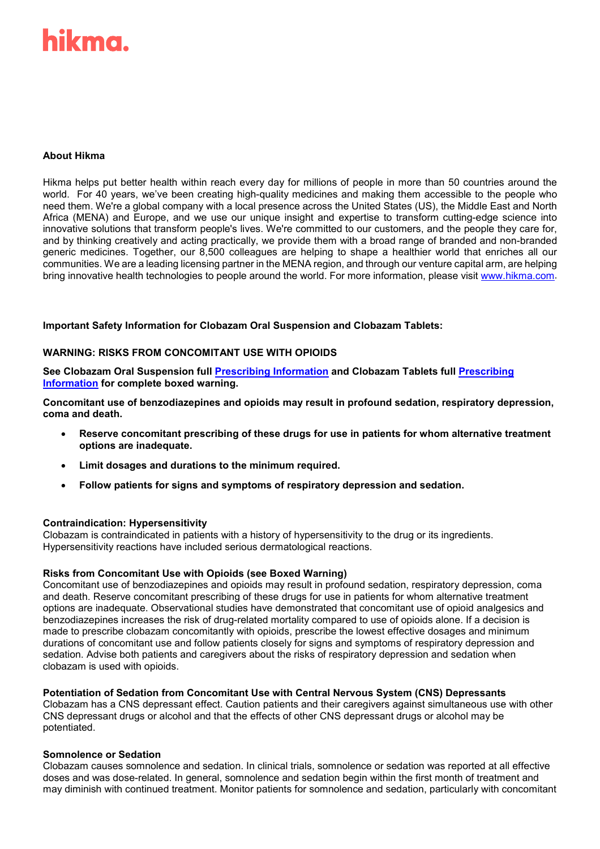# hikma.

# **About Hikma**

Hikma helps put better health within reach every day for millions of people in more than 50 countries around the world. For 40 years, we've been creating high-quality medicines and making them accessible to the people who need them. We're a global company with a local presence across the United States (US), the Middle East and North Africa (MENA) and Europe, and we use our unique insight and expertise to transform cutting-edge science into innovative solutions that transform people's lives. We're committed to our customers, and the people they care for, and by thinking creatively and acting practically, we provide them with a broad range of branded and non-branded generic medicines. Together, our 8,500 colleagues are helping to shape a healthier world that enriches all our communities. We are a leading licensing partner in the MENA region, and through our venture capital arm, are helping bring innovative health technologies to people around the world. For more information, please visit [www.hikma.com.](http://www.hikma.com/)

#### **Important Safety Information for Clobazam Oral Suspension and Clobazam Tablets:**

#### **WARNING: RISKS FROM CONCOMITANT USE WITH OPIOIDS**

**See Clobazam Oral Suspension full [Prescribing](https://dailymed.nlm.nih.gov/dailymed/drugInfo.cfm?setid=cf35bff4-af9c-4a59-a5fa-cedacd3d4891) Information and Clobazam Tablets full [Prescribing](https://dailymed.nlm.nih.gov/dailymed/drugInfo.cfm?setid=848e1401-a70f-47d9-8ac3-5c8c4fba480e)  [Information](https://dailymed.nlm.nih.gov/dailymed/drugInfo.cfm?setid=848e1401-a70f-47d9-8ac3-5c8c4fba480e) for complete boxed warning.**

**Concomitant use of benzodiazepines and opioids may result in profound sedation, respiratory depression, coma and death.**

- **Reserve concomitant prescribing of these drugs for use in patients for whom alternative treatment options are inadequate.**
- **Limit dosages and durations to the minimum required.**
- **Follow patients for signs and symptoms of respiratory depression and sedation.**

#### **Contraindication: Hypersensitivity**

Clobazam is contraindicated in patients with a history of hypersensitivity to the drug or its ingredients. Hypersensitivity reactions have included serious dermatological reactions.

#### **Risks from Concomitant Use with Opioids (see Boxed Warning)**

Concomitant use of benzodiazepines and opioids may result in profound sedation, respiratory depression, coma and death. Reserve concomitant prescribing of these drugs for use in patients for whom alternative treatment options are inadequate. Observational studies have demonstrated that concomitant use of opioid analgesics and benzodiazepines increases the risk of drug-related mortality compared to use of opioids alone. If a decision is made to prescribe clobazam concomitantly with opioids, prescribe the lowest effective dosages and minimum durations of concomitant use and follow patients closely for signs and symptoms of respiratory depression and sedation. Advise both patients and caregivers about the risks of respiratory depression and sedation when clobazam is used with opioids.

#### **Potentiation of Sedation from Concomitant Use with Central Nervous System (CNS) Depressants**

Clobazam has a CNS depressant effect. Caution patients and their caregivers against simultaneous use with other CNS depressant drugs or alcohol and that the effects of other CNS depressant drugs or alcohol may be potentiated.

#### **Somnolence or Sedation**

Clobazam causes somnolence and sedation. In clinical trials, somnolence or sedation was reported at all effective doses and was dose-related. In general, somnolence and sedation begin within the first month of treatment and may diminish with continued treatment. Monitor patients for somnolence and sedation, particularly with concomitant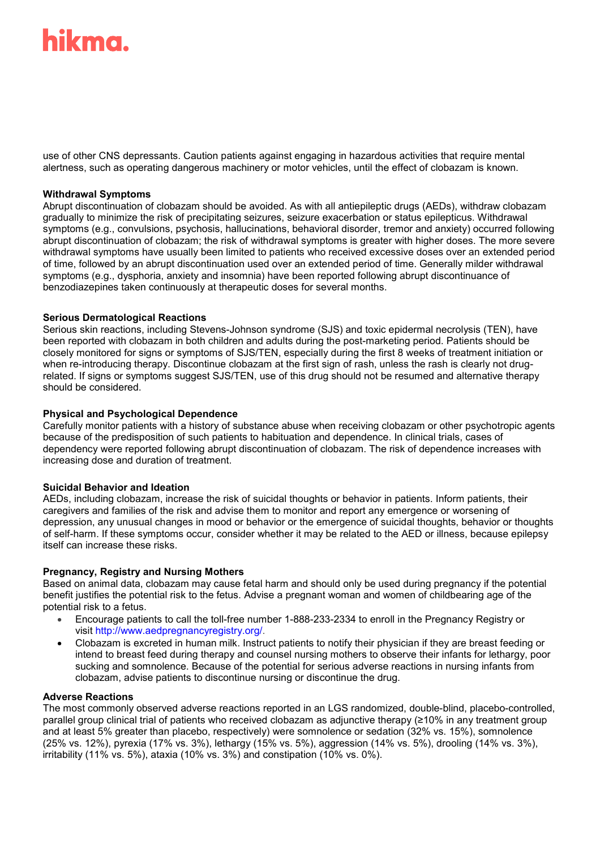# ikma.

use of other CNS depressants. Caution patients against engaging in hazardous activities that require mental alertness, such as operating dangerous machinery or motor vehicles, until the effect of clobazam is known.

#### **Withdrawal Symptoms**

Abrupt discontinuation of clobazam should be avoided. As with all antiepileptic drugs (AEDs), withdraw clobazam gradually to minimize the risk of precipitating seizures, seizure exacerbation or status epilepticus. Withdrawal symptoms (e.g., convulsions, psychosis, hallucinations, behavioral disorder, tremor and anxiety) occurred following abrupt discontinuation of clobazam; the risk of withdrawal symptoms is greater with higher doses. The more severe withdrawal symptoms have usually been limited to patients who received excessive doses over an extended period of time, followed by an abrupt discontinuation used over an extended period of time. Generally milder withdrawal symptoms (e.g., dysphoria, anxiety and insomnia) have been reported following abrupt discontinuance of benzodiazepines taken continuously at therapeutic doses for several months.

#### **Serious Dermatological Reactions**

Serious skin reactions, including Stevens-Johnson syndrome (SJS) and toxic epidermal necrolysis (TEN), have been reported with clobazam in both children and adults during the post-marketing period. Patients should be closely monitored for signs or symptoms of SJS/TEN, especially during the first 8 weeks of treatment initiation or when re-introducing therapy. Discontinue clobazam at the first sign of rash, unless the rash is clearly not drugrelated. If signs or symptoms suggest SJS/TEN, use of this drug should not be resumed and alternative therapy should be considered.

# **Physical and Psychological Dependence**

Carefully monitor patients with a history of substance abuse when receiving clobazam or other psychotropic agents because of the predisposition of such patients to habituation and dependence. In clinical trials, cases of dependency were reported following abrupt discontinuation of clobazam. The risk of dependence increases with increasing dose and duration of treatment.

#### **Suicidal Behavior and Ideation**

AEDs, including clobazam, increase the risk of suicidal thoughts or behavior in patients. Inform patients, their caregivers and families of the risk and advise them to monitor and report any emergence or worsening of depression, any unusual changes in mood or behavior or the emergence of suicidal thoughts, behavior or thoughts of self-harm. If these symptoms occur, consider whether it may be related to the AED or illness, because epilepsy itself can increase these risks.

# **Pregnancy, Registry and Nursing Mothers**

Based on animal data, clobazam may cause fetal harm and should only be used during pregnancy if the potential benefit justifies the potential risk to the fetus. Advise a pregnant woman and women of childbearing age of the potential risk to a fetus.

- Encourage patients to call the toll-free number 1-888-233-2334 to enroll in the Pregnancy Registry or visit [http://www.aedpregnancyregistry.org/.](http://www.aedpregnancyregistry.org/)
- Clobazam is excreted in human milk. Instruct patients to notify their physician if they are breast feeding or intend to breast feed during therapy and counsel nursing mothers to observe their infants for lethargy, poor sucking and somnolence. Because of the potential for serious adverse reactions in nursing infants from clobazam, advise patients to discontinue nursing or discontinue the drug.

#### **Adverse Reactions**

The most commonly observed adverse reactions reported in an LGS randomized, double-blind, placebo-controlled, parallel group clinical trial of patients who received clobazam as adjunctive therapy (≥10% in any treatment group and at least 5% greater than placebo, respectively) were somnolence or sedation (32% vs. 15%), somnolence (25% vs. 12%), pyrexia (17% vs. 3%), lethargy (15% vs. 5%), aggression (14% vs. 5%), drooling (14% vs. 3%), irritability (11% vs. 5%), ataxia (10% vs. 3%) and constipation (10% vs. 0%).